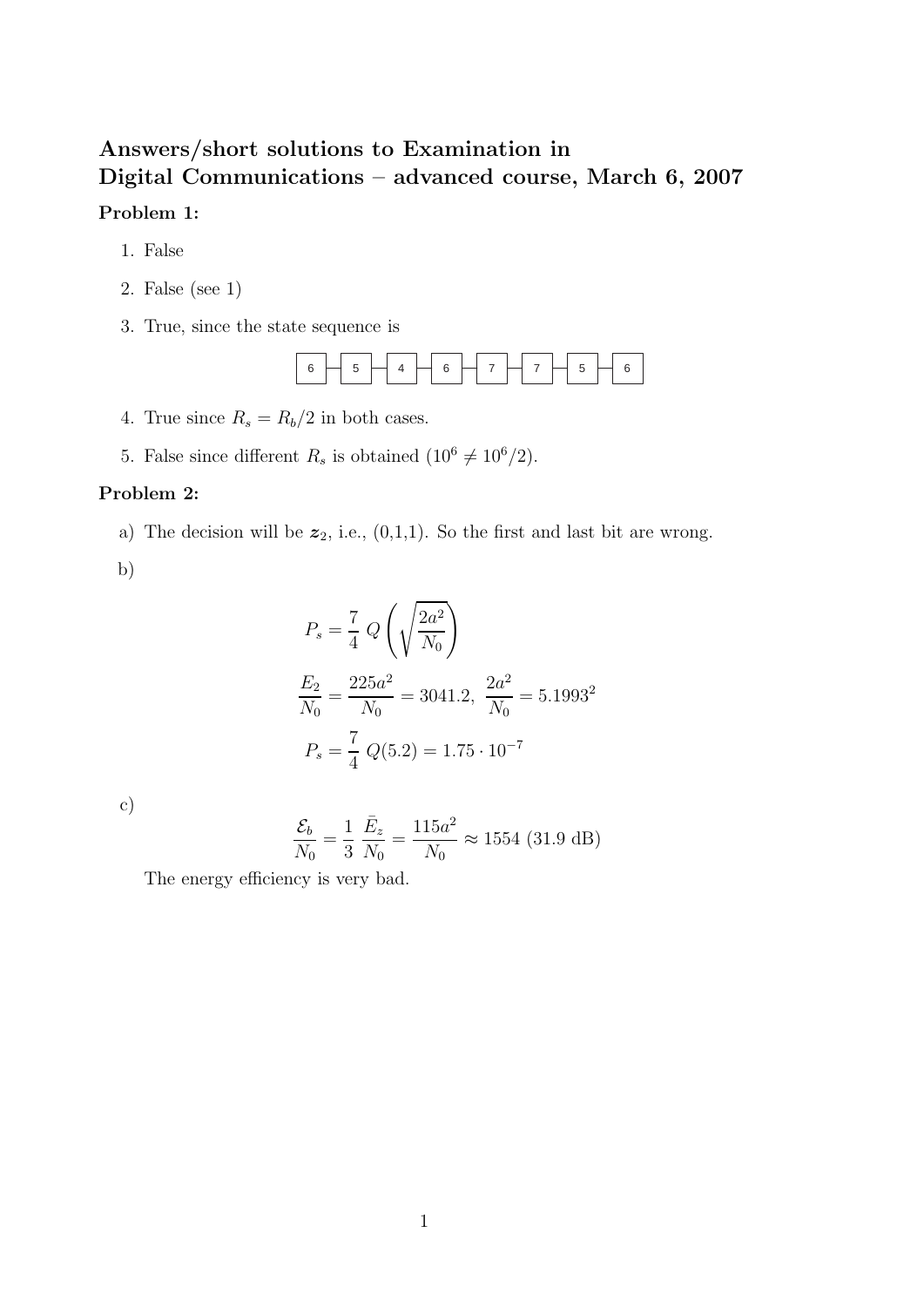# **Answers/short solutions to Examination in Digital Communications – advanced course, March 6, 2007 Problem 1:**

- 1. False
- 2. False (see 1)
- 3. True, since the state sequence is



- 4. True since  $R_s = R_b/2$  in both cases.
- 5. False since different  $R_s$  is obtained  $(10^6 \neq 10^6/2)$ .

#### **Problem 2:**

a) The decision will be  $z_2$ , i.e.,  $(0,1,1)$ . So the first and last bit are wrong.

b)

$$
P_s = \frac{7}{4} Q \left( \sqrt{\frac{2a^2}{N_0}} \right)
$$
  

$$
\frac{E_2}{N_0} = \frac{225a^2}{N_0} = 3041.2, \ \frac{2a^2}{N_0} = 5.1993^2
$$
  

$$
P_s = \frac{7}{4} Q(5.2) = 1.75 \cdot 10^{-7}
$$

c)

$$
\frac{\mathcal{E}_b}{N_0} = \frac{1}{3} \frac{\bar{E}_z}{N_0} = \frac{115a^2}{N_0} \approx 1554 \text{ (31.9 dB)}
$$

The energy efficiency is very bad.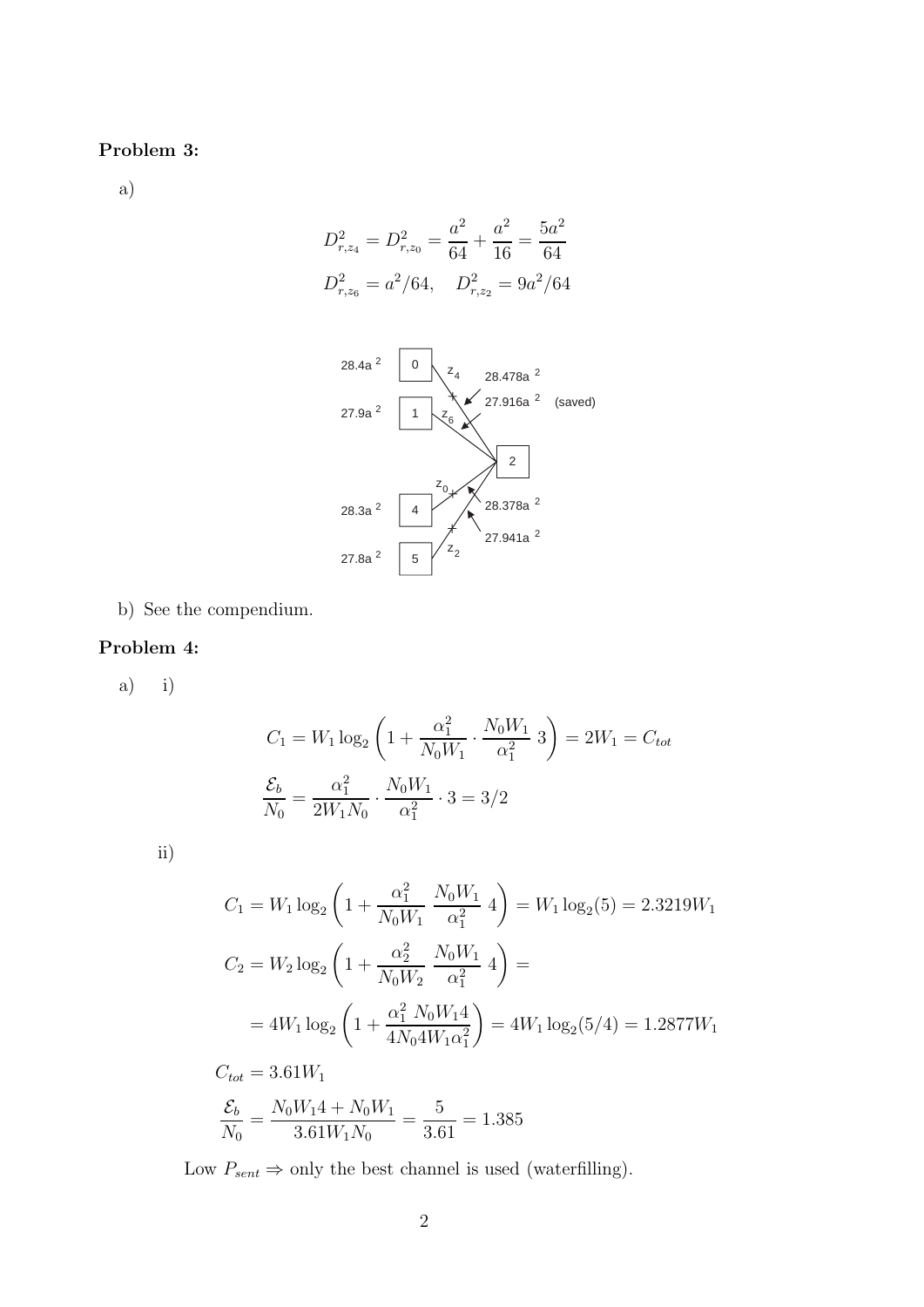### **Problem 3:**

a)

$$
D_{r,z_4}^2 = D_{r,z_0}^2 = \frac{a^2}{64} + \frac{a^2}{16} = \frac{5a^2}{64}
$$

$$
D_{r,z_6}^2 = a^2/64, \quad D_{r,z_2}^2 = 9a^2/64
$$



b) See the compendium.

#### **Problem 4:**

a) i)

$$
C_1 = W_1 \log_2 \left( 1 + \frac{\alpha_1^2}{N_0 W_1} \cdot \frac{N_0 W_1}{\alpha_1^2} \cdot 3 \right) = 2W_1 = C_{tot}
$$

$$
\frac{\mathcal{E}_b}{N_0} = \frac{\alpha_1^2}{2W_1 N_0} \cdot \frac{N_0 W_1}{\alpha_1^2} \cdot 3 = 3/2
$$

ii)

$$
C_1 = W_1 \log_2 \left( 1 + \frac{\alpha_1^2}{N_0 W_1} \frac{N_0 W_1}{\alpha_1^2} 4 \right) = W_1 \log_2(5) = 2.3219 W_1
$$
  
\n
$$
C_2 = W_2 \log_2 \left( 1 + \frac{\alpha_2^2}{N_0 W_2} \frac{N_0 W_1}{\alpha_1^2} 4 \right) =
$$
  
\n
$$
= 4W_1 \log_2 \left( 1 + \frac{\alpha_1^2 N_0 W_1 4}{4N_0 4W_1 \alpha_1^2} \right) = 4W_1 \log_2(5/4) = 1.2877 W_1
$$
  
\n
$$
C_{tot} = 3.61 W_1
$$
  
\n
$$
S_1 = N_1 W_1 4 + N_1 W_2 = 5
$$

$$
\frac{\mathcal{E}_b}{N_0} = \frac{N_0 W_1 4 + N_0 W_1}{3.61 W_1 N_0} = \frac{5}{3.61} = 1.385
$$

Low  $P_{sent} \Rightarrow$  only the best channel is used (waterfilling).